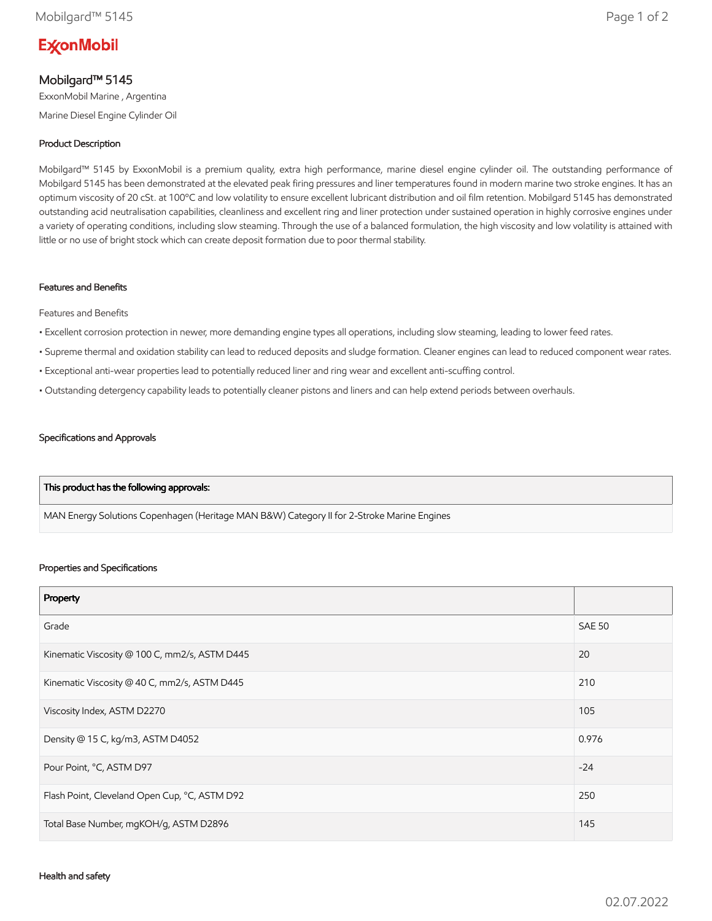# **ExconMobil**

## Mobilgard™ 5145

ExxonMobil Marine , Argentina Marine Diesel Engine Cylinder Oil

## Product Description

Mobilgard™ 5145 by ExxonMobil is a premium quality, extra high performance, marine diesel engine cylinder oil. The outstanding performance of Mobilgard 5145 has been demonstrated at the elevated peak firing pressures and liner temperatures found in modern marine two stroke engines. It has an optimum viscosity of 20 cSt. at 100ºC and low volatility to ensure excellent lubricant distribution and oil film retention. Mobilgard 5145 has demonstrated outstanding acid neutralisation capabilities, cleanliness and excellent ring and liner protection under sustained operation in highly corrosive engines under a variety of operating conditions, including slow steaming. Through the use of a balanced formulation, the high viscosity and low volatility is attained with little or no use of bright stock which can create deposit formation due to poor thermal stability.

#### Features and Benefits

Features and Benefits

- Excellent corrosion protection in newer, more demanding engine types all operations, including slow steaming, leading to lower feed rates.
- Supreme thermal and oxidation stability can lead to reduced deposits and sludge formation. Cleaner engines can lead to reduced component wear rates.
- Exceptional anti-wear properties lead to potentially reduced liner and ring wear and excellent anti-scuffing control.
- Outstanding detergency capability leads to potentially cleaner pistons and liners and can help extend periods between overhauls.

#### Specifications and Approvals

#### This product has the following approvals:

MAN Energy Solutions Copenhagen (Heritage MAN B&W) Category II for 2-Stroke Marine Engines

#### Properties and Specifications

| Property                                      |               |
|-----------------------------------------------|---------------|
| Grade                                         | <b>SAE 50</b> |
| Kinematic Viscosity @ 100 C, mm2/s, ASTM D445 | 20            |
| Kinematic Viscosity @ 40 C, mm2/s, ASTM D445  | 210           |
| Viscosity Index, ASTM D2270                   | 105           |
| Density @ 15 C, kg/m3, ASTM D4052             | 0.976         |
| Pour Point, °C, ASTM D97                      | $-24$         |
| Flash Point, Cleveland Open Cup, °C, ASTM D92 | 250           |
| Total Base Number, mgKOH/g, ASTM D2896        | 145           |